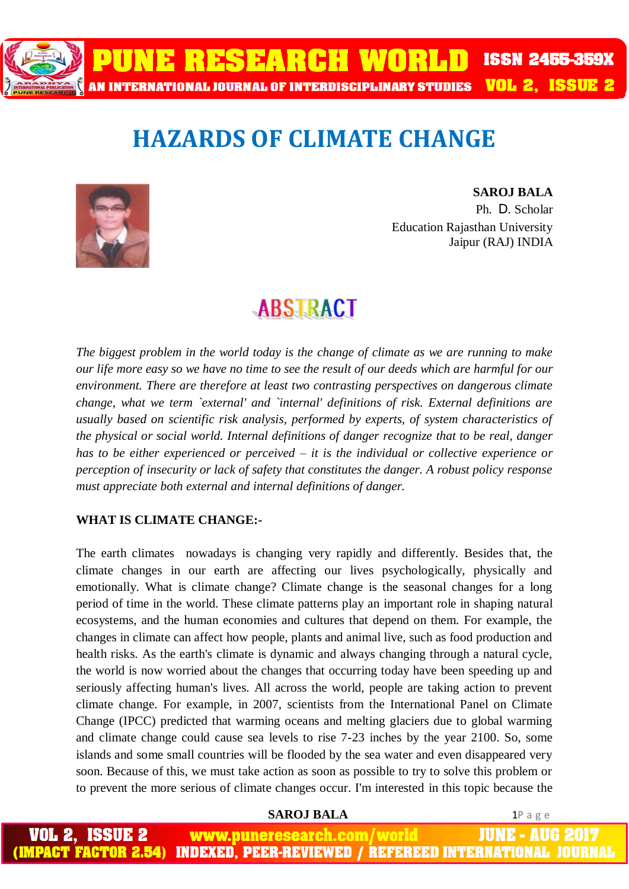

# **HAZARDS OF CLIMATE CHANGE**



**SAROJ BALA**  Ph. D*.* Scholar Education Rajasthan University Jaipur (RAJ) INDIA

# **ABSTRACT**

*The biggest problem in the world today is the change of climate as we are running to make our life more easy so we have no time to see the result of our deeds which are harmful for our environment. There are therefore at least two contrasting perspectives on dangerous climate change, what we term `external' and `internal' definitions of risk. External definitions are usually based on scientific risk analysis, performed by experts, of system characteristics of the physical or social world. Internal definitions of danger recognize that to be real, danger has to be either experienced or perceived – it is the individual or collective experience or perception of insecurity or lack of safety that constitutes the danger. A robust policy response must appreciate both external and internal definitions of danger.*

### **WHAT IS CLIMATE CHANGE:-**

The earth climates nowadays is changing very rapidly and differently. Besides that, the climate changes in our earth are affecting our lives psychologically, physically and emotionally. What is climate change? Climate change is the seasonal changes for a long period of time in the world. These climate patterns play an important role in shaping natural ecosystems, and the human economies and cultures that depend on them. For example, the changes in climate can affect how people, plants and animal live, such as food production and health risks. As the earth's climate is dynamic and always changing through a natural cycle, the world is now worried about the changes that occurring today have been speeding up and seriously affecting human's lives. All across the world, people are taking action to prevent climate change. For example, in 2007, scientists from the International Panel on Climate Change (IPCC) predicted that warming oceans and melting glaciers due to global warming and climate change could cause sea levels to rise 7-23 inches by the year 2100. So, some islands and some small countries will be flooded by the sea water and even disappeared very soon. Because of this, we must take action as soon as possible to try to solve this problem or to prevent the more serious of climate changes occur. I'm interested in this topic because the

**SAROJ BALA** 1P a g e

JUNE - AUG 2 www.puneresearch.com/world **IMPACT FACTOR 2.54) INDEXED. PEER-REVIEWED / REFEREED INTERNATIONAL JOU**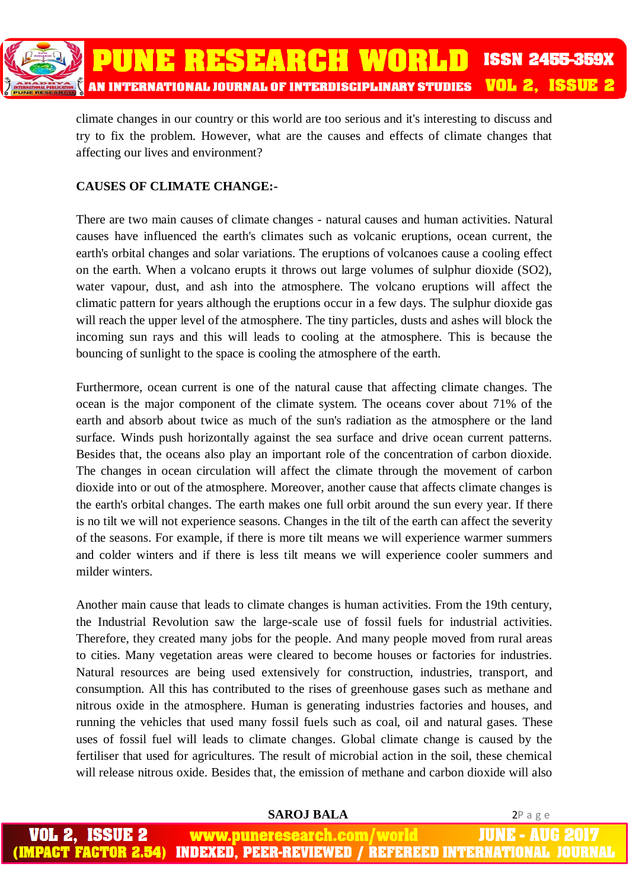

climate changes in our country or this world are too serious and it's interesting to discuss and try to fix the problem. However, what are the causes and effects of climate changes that affecting our lives and environment?

### **CAUSES OF CLIMATE CHANGE:-**

There are two main causes of climate changes - natural causes and human activities. Natural causes have influenced the earth's climates such as volcanic eruptions, ocean current, the earth's orbital changes and solar variations. The eruptions of volcanoes cause a cooling effect on the earth. When a volcano erupts it throws out large volumes of sulphur dioxide (SO2), water vapour, dust, and ash into the atmosphere. The volcano eruptions will affect the climatic pattern for years although the eruptions occur in a few days. The sulphur dioxide gas will reach the upper level of the atmosphere. The tiny particles, dusts and ashes will block the incoming sun rays and this will leads to cooling at the atmosphere. This is because the bouncing of sunlight to the space is cooling the atmosphere of the earth.

Furthermore, ocean current is one of the natural cause that affecting climate changes. The ocean is the major component of the climate system. The oceans cover about 71% of the earth and absorb about twice as much of the sun's radiation as the atmosphere or the land surface. Winds push horizontally against the sea surface and drive ocean current patterns. Besides that, the oceans also play an important role of the concentration of carbon dioxide. The changes in ocean circulation will affect the climate through the movement of carbon dioxide into or out of the atmosphere. Moreover, another cause that affects climate changes is the earth's orbital changes. The earth makes one full orbit around the sun every year. If there is no tilt we will not experience seasons. Changes in the tilt of the earth can affect the severity of the seasons. For example, if there is more tilt means we will experience warmer summers and colder winters and if there is less tilt means we will experience cooler summers and milder winters.

Another main cause that leads to climate changes is human activities. From the 19th century, the Industrial Revolution saw the large-scale use of fossil fuels for industrial activities. Therefore, they created many jobs for the people. And many people moved from rural areas to cities. Many vegetation areas were cleared to become houses or factories for industries. Natural resources are being used extensively for construction, industries, transport, and consumption. All this has contributed to the rises of greenhouse gases such as methane and nitrous oxide in the atmosphere. Human is generating industries factories and houses, and running the vehicles that used many fossil fuels such as coal, oil and natural gases. These uses of fossil fuel will leads to climate changes. Global climate change is caused by the fertiliser that used for agricultures. The result of microbial action in the soil, these chemical will release nitrous oxide. Besides that, the emission of methane and carbon dioxide will also

**SAROJ BALA** 2P a g e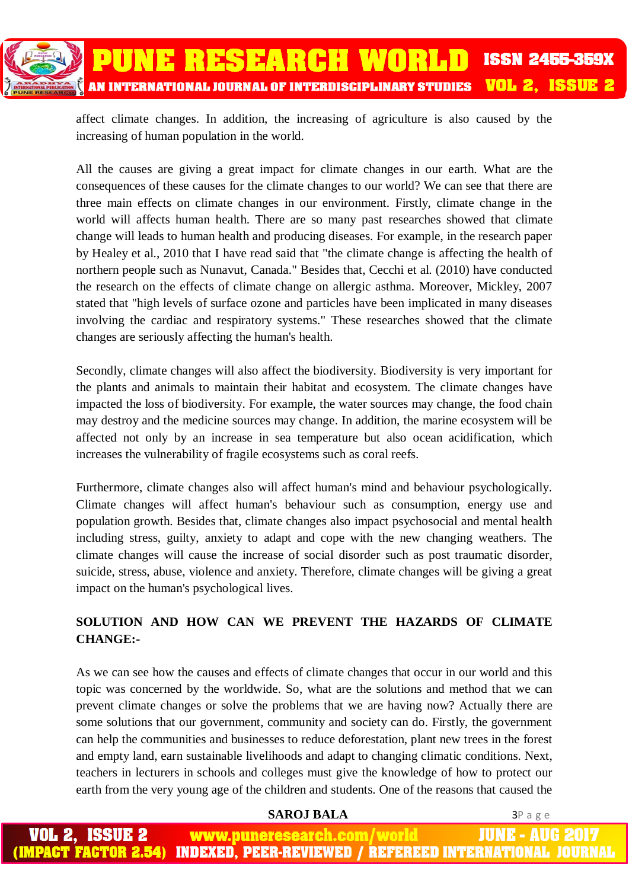

affect climate changes. In addition, the increasing of agriculture is also caused by the increasing of human population in the world.

All the causes are giving a great impact for climate changes in our earth. What are the consequences of these causes for the climate changes to our world? We can see that there are three main effects on climate changes in our environment. Firstly, climate change in the world will affects human health. There are so many past researches showed that climate change will leads to human health and producing diseases. For example, in the research paper by Healey et al., 2010 that I have read said that "the climate change is affecting the health of northern people such as Nunavut, Canada." Besides that, Cecchi et al. (2010) have conducted the research on the effects of climate change on allergic asthma. Moreover, Mickley, 2007 stated that "high levels of surface ozone and particles have been implicated in many diseases involving the cardiac and respiratory systems." These researches showed that the climate changes are seriously affecting the human's health.

Secondly, climate changes will also affect the biodiversity. Biodiversity is very important for the plants and animals to maintain their habitat and ecosystem. The climate changes have impacted the loss of biodiversity. For example, the water sources may change, the food chain may destroy and the medicine sources may change. In addition, the marine ecosystem will be affected not only by an increase in sea temperature but also ocean acidification, which increases the vulnerability of fragile ecosystems such as coral reefs.

Furthermore, climate changes also will affect human's mind and behaviour psychologically. Climate changes will affect human's behaviour such as consumption, energy use and population growth. Besides that, climate changes also impact psychosocial and mental health including stress, guilty, anxiety to adapt and cope with the new changing weathers. The climate changes will cause the increase of social disorder such as post traumatic disorder, suicide, stress, abuse, violence and anxiety. Therefore, climate changes will be giving a great impact on the human's psychological lives.

## **SOLUTION AND HOW CAN WE PREVENT THE HAZARDS OF CLIMATE CHANGE:-**

As we can see how the causes and effects of climate changes that occur in our world and this topic was concerned by the worldwide. So, what are the solutions and method that we can prevent climate changes or solve the problems that we are having now? Actually there are some solutions that our government, community and society can do. Firstly, the government can help the communities and businesses to reduce deforestation, plant new trees in the forest and empty land, earn sustainable livelihoods and adapt to changing climatic conditions. Next, teachers in lecturers in schools and colleges must give the knowledge of how to protect our earth from the very young age of the children and students. One of the reasons that caused the

**SAROJ BALA** 3P a g e

VOL 2. ISSUE 2 JUNE - AUG 2 www.puneresearch.com/world (IMPACT FACTOR 2.54) **INDEXED. PEER-REVIEWED / REFEREED INTERNATIONAL JOU**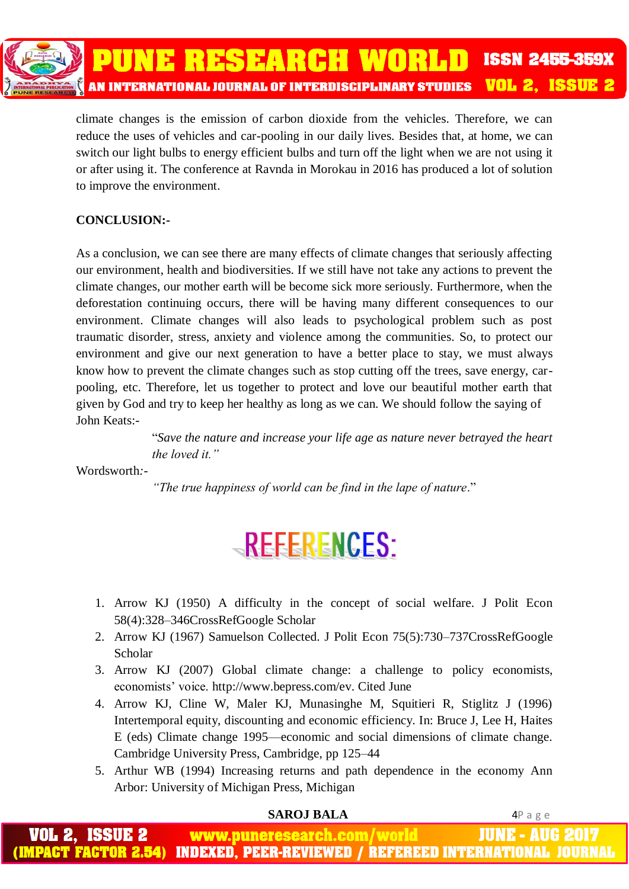

climate changes is the emission of carbon dioxide from the vehicles. Therefore, we can reduce the uses of vehicles and car-pooling in our daily lives. Besides that, at home, we can switch our light bulbs to energy efficient bulbs and turn off the light when we are not using it or after using it. The conference at Ravnda in Morokau in 2016 has produced a lot of solution to improve the environment.

## **CONCLUSION:-**

As a conclusion, we can see there are many effects of climate changes that seriously affecting our environment, health and biodiversities. If we still have not take any actions to prevent the climate changes, our mother earth will be become sick more seriously. Furthermore, when the deforestation continuing occurs, there will be having many different consequences to our environment. Climate changes will also leads to psychological problem such as post traumatic disorder, stress, anxiety and violence among the communities. So, to protect our environment and give our next generation to have a better place to stay, we must always know how to prevent the climate changes such as stop cutting off the trees, save energy, carpooling, etc. Therefore, let us together to protect and love our beautiful mother earth that given by God and try to keep her healthy as long as we can. We should follow the saying of John Keats:-

> "*Save the nature and increase your life age as nature never betrayed the heart the loved it."*

Wordsworth*:-*

*"The true happiness of world can be find in the lape of nature*."

# REFERENCES:

- 1. Arrow KJ (1950) A difficulty in the concept of social welfare. J Polit Econ 58(4):328–346CrossRefGoogle Scholar
- 2. Arrow KJ (1967) Samuelson Collected. J Polit Econ 75(5):730–737CrossRefGoogle Scholar
- 3. Arrow KJ (2007) Global climate change: a challenge to policy economists, economists' voice. http://www.bepress.com/ev. Cited June
- 4. Arrow KJ, Cline W, Maler KJ, Munasinghe M, Squitieri R, Stiglitz J (1996) Intertemporal equity, discounting and economic efficiency. In: Bruce J, Lee H, Haites E (eds) Climate change 1995—economic and social dimensions of climate change. Cambridge University Press, Cambridge, pp 125–44
- 5. Arthur WB (1994) Increasing returns and path dependence in the economy Ann Arbor: University of Michigan Press, Michigan

### **SAROJ BALA** 4P a g e

www.puneresearch.com/world JUNE - AUG **INDEXED. PEER-REVIEWED / REFEREED INTERNATIONAL**